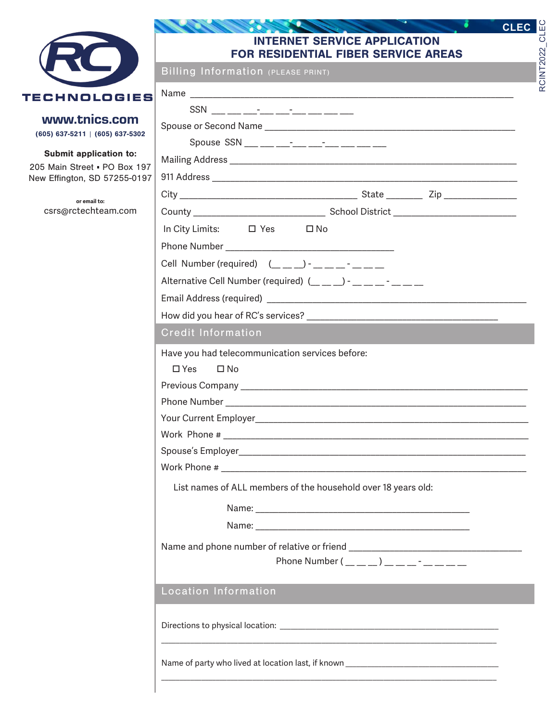

www.tnics.com (605) 637-5211 | (605) 637-5302

Submit application to:

205 Main Street · PO Box 197 New Effington, SD 57255-0197

> **or email to:** csrs@rctechteam.com

#### ö **CONTRACTOR** INTERNET SERVICE APPLICATION FOR RESIDENTIAL FIBER SERVICE AREAS

RCINT2022\_CLEC

RCINT2022\_CLEC

**CLEC**

Billing Information (PLEASE PRINT)

| Name                                                            |  |  |  |  |  |
|-----------------------------------------------------------------|--|--|--|--|--|
|                                                                 |  |  |  |  |  |
|                                                                 |  |  |  |  |  |
|                                                                 |  |  |  |  |  |
|                                                                 |  |  |  |  |  |
|                                                                 |  |  |  |  |  |
|                                                                 |  |  |  |  |  |
|                                                                 |  |  |  |  |  |
| In City Limits: $\Box$ Yes $\Box$ No                            |  |  |  |  |  |
|                                                                 |  |  |  |  |  |
| Cell Number (required) $($                                      |  |  |  |  |  |
| Alternative Cell Number (required) (__ _ _) - _ _ _ _ - _ _ _ _ |  |  |  |  |  |
|                                                                 |  |  |  |  |  |
|                                                                 |  |  |  |  |  |
| <b>Credit Information</b>                                       |  |  |  |  |  |
| Have you had telecommunication services before:                 |  |  |  |  |  |
| $\Box$ Yes $\Box$ No                                            |  |  |  |  |  |
|                                                                 |  |  |  |  |  |
|                                                                 |  |  |  |  |  |
|                                                                 |  |  |  |  |  |
|                                                                 |  |  |  |  |  |
|                                                                 |  |  |  |  |  |
|                                                                 |  |  |  |  |  |
| List names of ALL members of the household over 18 years old:   |  |  |  |  |  |
|                                                                 |  |  |  |  |  |
|                                                                 |  |  |  |  |  |
|                                                                 |  |  |  |  |  |
| Phone Number $(\_ \_ \_ \_ \_ )$ _ _ _ _ _ _ _ _                |  |  |  |  |  |
|                                                                 |  |  |  |  |  |
| <b>Location Information</b>                                     |  |  |  |  |  |
|                                                                 |  |  |  |  |  |
|                                                                 |  |  |  |  |  |
|                                                                 |  |  |  |  |  |
|                                                                 |  |  |  |  |  |
|                                                                 |  |  |  |  |  |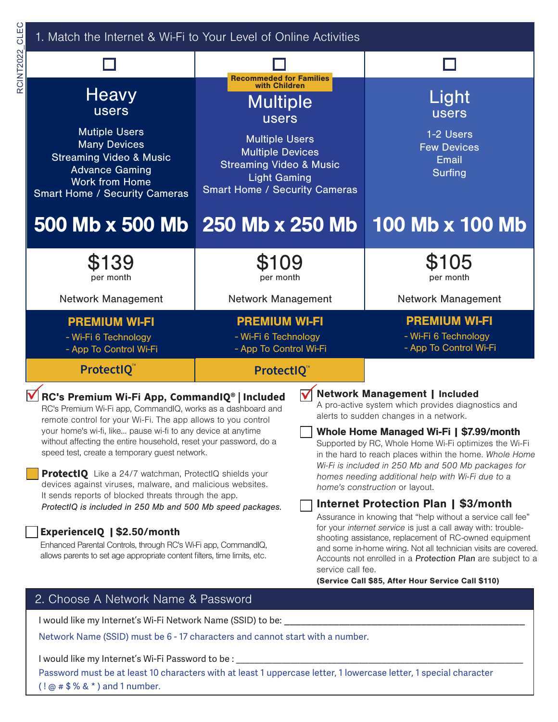| CLEC      | 1. Match the Internet & Wi-Fi to Your Level of Online Activities                                                                                                                                                                                                                                                                                                                                                                                                                                                                                                                                                                                                                                                                                                                                    |                                                                                                                                                                                                                                             |                                           |                                                                                                                                                                                                                                                                                                                                                                                                                                                                                                                                                                                                                                                                                                                                                                                                                             |  |
|-----------|-----------------------------------------------------------------------------------------------------------------------------------------------------------------------------------------------------------------------------------------------------------------------------------------------------------------------------------------------------------------------------------------------------------------------------------------------------------------------------------------------------------------------------------------------------------------------------------------------------------------------------------------------------------------------------------------------------------------------------------------------------------------------------------------------------|---------------------------------------------------------------------------------------------------------------------------------------------------------------------------------------------------------------------------------------------|-------------------------------------------|-----------------------------------------------------------------------------------------------------------------------------------------------------------------------------------------------------------------------------------------------------------------------------------------------------------------------------------------------------------------------------------------------------------------------------------------------------------------------------------------------------------------------------------------------------------------------------------------------------------------------------------------------------------------------------------------------------------------------------------------------------------------------------------------------------------------------------|--|
| RCINT2022 |                                                                                                                                                                                                                                                                                                                                                                                                                                                                                                                                                                                                                                                                                                                                                                                                     |                                                                                                                                                                                                                                             |                                           |                                                                                                                                                                                                                                                                                                                                                                                                                                                                                                                                                                                                                                                                                                                                                                                                                             |  |
|           | Heavy<br><b>users</b><br><b>Mutiple Users</b><br><b>Many Devices</b><br><b>Streaming Video &amp; Music</b><br><b>Advance Gaming</b><br><b>Work from Home</b><br><b>Smart Home / Security Cameras</b>                                                                                                                                                                                                                                                                                                                                                                                                                                                                                                                                                                                                | <b>Recommeded for Families</b><br>with Children<br><b>Multiple</b><br><b>users</b><br><b>Multiple Users</b><br><b>Multiple Devices</b><br><b>Streaming Video &amp; Music</b><br><b>Light Gaming</b><br><b>Smart Home / Security Cameras</b> |                                           | Light<br>users<br>1-2 Users<br><b>Few Devices</b><br><b>Email</b><br><b>Surfing</b>                                                                                                                                                                                                                                                                                                                                                                                                                                                                                                                                                                                                                                                                                                                                         |  |
|           | 500 Mb x 500 Mb 250 Mb x 250 Mb                                                                                                                                                                                                                                                                                                                                                                                                                                                                                                                                                                                                                                                                                                                                                                     |                                                                                                                                                                                                                                             |                                           | 100 Mb x 100 Mb                                                                                                                                                                                                                                                                                                                                                                                                                                                                                                                                                                                                                                                                                                                                                                                                             |  |
|           | \$139<br>per month                                                                                                                                                                                                                                                                                                                                                                                                                                                                                                                                                                                                                                                                                                                                                                                  | \$109<br>per month                                                                                                                                                                                                                          |                                           | \$105<br>per month                                                                                                                                                                                                                                                                                                                                                                                                                                                                                                                                                                                                                                                                                                                                                                                                          |  |
|           | <b>Network Management</b>                                                                                                                                                                                                                                                                                                                                                                                                                                                                                                                                                                                                                                                                                                                                                                           | Network Management                                                                                                                                                                                                                          |                                           | <b>Network Management</b>                                                                                                                                                                                                                                                                                                                                                                                                                                                                                                                                                                                                                                                                                                                                                                                                   |  |
|           | <b>PREMIUM WI-FI</b><br>- Wi-Fi 6 Technology<br>- App To Control Wi-Fi                                                                                                                                                                                                                                                                                                                                                                                                                                                                                                                                                                                                                                                                                                                              | <b>PREMIUM WI-FI</b><br>- Wi-Fi 6 Technology<br>- App To Control Wi-Fi                                                                                                                                                                      |                                           | <b>PREMIUM WI-FI</b><br>- Wi-Fi 6 Technology<br>- App To Control Wi-Fi                                                                                                                                                                                                                                                                                                                                                                                                                                                                                                                                                                                                                                                                                                                                                      |  |
|           | ProtectIQ                                                                                                                                                                                                                                                                                                                                                                                                                                                                                                                                                                                                                                                                                                                                                                                           | ProtectIQ™                                                                                                                                                                                                                                  |                                           |                                                                                                                                                                                                                                                                                                                                                                                                                                                                                                                                                                                                                                                                                                                                                                                                                             |  |
|           | RC's Premium Wi-Fi App, CommandIQ®   Included<br>RC's Premium Wi-Fi app, CommandIQ, works as a dashboard and<br>remote control for your Wi-Fi. The app allows to you control<br>your home's wi-fi, like pause wi-fi to any device at anytime<br>without affecting the entire household, reset your password, do a<br>speed test, create a temporary guest network.<br><b>ProtectIQ</b> Like a 24/7 watchman, ProtectIQ shields your<br>devices against viruses, malware, and malicious websites.<br>It sends reports of blocked threats through the app.<br>ProtectIQ is included in 250 Mb and 500 Mb speed packages.<br>ExperienceIQ   \$2.50/month<br>Enhanced Parental Controls, through RC's Wi-Fi app, CommandIQ,<br>allows parents to set age appropriate content filters, time limits, etc. |                                                                                                                                                                                                                                             | $\blacktriangledown$<br>service call fee. | <b>Network Management   Included</b><br>A pro-active system which provides diagnostics and<br>alerts to sudden changes in a network.<br>Whole Home Managed Wi-Fi   \$7.99/month<br>Supported by RC, Whole Home Wi-Fi optimizes the Wi-Fi<br>in the hard to reach places within the home. Whole Home<br>Wi-Fi is included in 250 Mb and 500 Mb packages for<br>homes needing additional help with Wi-Fi due to a<br>home's construction or layout.<br><b>Internet Protection Plan   \$3/month</b><br>Assurance in knowing that "help without a service call fee"<br>for your internet service is just a call away with: trouble-<br>shooting assistance, replacement of RC-owned equipment<br>and some in-home wiring. Not all technician visits are covered.<br>Accounts not enrolled in a Protection Plan are subject to a |  |

# 2. Choose A Network Name & Password

I would like my Internet's Wi-Fi Network Name (SSID) to be: \_\_\_\_

Network Name (SSID) must be 6 - 17 characters and cannot start with a number.

I would like my Internet's Wi-Fi Password to be : \_\_

Password must be at least 10 characters with at least 1 uppercase letter, 1 lowercase letter, 1 special character  $( ! @ # $$  % &  $* )$  and 1 number.

(Service Call \$85, After Hour Service Call \$110)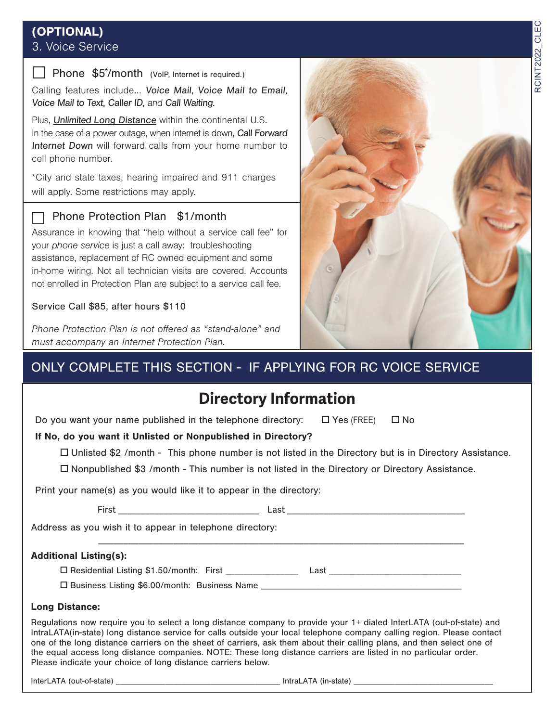# RCINT2022\_CLEC RCINT2022\_CLEC

# (OPTIONAL) 3. Voice Service

## Phone \$5<sup>\*</sup>/month (VoIP, Internet is required.)

Calling features include... Voice Mail, Voice Mail to Email, Voice Mail to Text, Caller ID, and Call Waiting.

Plus, Unlimited Long Distance within the continental U.S. In the case of a power outage, when internet is down, Call Forward Internet Down will forward calls from your home number to cell phone number.

\*City and state taxes, hearing impaired and 911 charges will apply. Some restrictions may apply.

# Phone Protection Plan \$1/month

Assurance in knowing that "help without a service call fee" for your phone service is just a call away: troubleshooting assistance, replacement of RC owned equipment and some in-home wiring. Not all technician visits are covered. Accounts not enrolled in Protection Plan are subject to a service call fee.

# Service Call \$85, after hours \$110

Phone Protection Plan is not offered as "stand-alone" and must accompany an Internet Protection Plan.



# ONLY COMPLETE THIS SECTION - IF APPLYING FOR RC VOICE SERVICE

# **Directory Information**

Do you want your name published in the telephone directory:  $\Box$  Yes (FREE)  $\Box$  No

# If No, do you want it Unlisted or Nonpublished in Directory?

 $\Box$  Unlisted \$2 /month - This phone number is not listed in the Directory but is in Directory Assistance.

\_\_\_\_\_\_\_\_\_\_\_\_\_\_\_\_\_\_\_\_\_\_\_\_\_\_\_\_\_\_\_\_\_\_\_\_\_\_\_\_\_\_\_\_\_\_\_\_\_\_\_\_\_\_\_\_\_\_\_\_\_\_\_\_\_\_\_\_\_\_\_\_\_

 $\Box$  Nonpublished \$3 /month - This number is not listed in the Directory or Directory Assistance.

Print your name(s) as you would like it to appear in the directory:

First \_\_\_\_\_\_\_\_\_\_\_\_\_\_\_\_\_\_\_\_\_\_\_\_\_\_\_\_\_\_\_ Last \_\_\_\_\_\_\_\_\_\_\_\_\_\_\_\_\_\_\_\_\_\_\_\_\_\_\_\_\_\_\_\_\_\_\_\_\_\_\_

Address as you wish it to appear in telephone directory:

## Additional Listing(s):

o Residential Listing \$1.50/month: First \_\_\_\_\_\_\_\_\_\_\_\_\_\_\_\_ Last \_\_\_\_\_\_\_\_\_\_\_\_\_\_\_\_\_\_\_\_\_\_\_\_\_\_\_\_\_

 $\square$  Business Listing \$6.00/month: Business Name

## Long Distance:

Regulations now require you to select a long distance company to provide your 1+ dialed InterLATA (out-of-state) and IntraLATA(in-state) long distance service for calls outside your local telephone company calling region. Please contact one of the long distance carriers on the sheet of carriers, ask them about their calling plans, and then select one of the equal access long distance companies. NOTE: These long distance carriers are listed in no particular order. Please indicate your choice of long distance carriers below.

InterLATA (out-of-state) \_\_\_\_\_\_\_\_\_\_\_\_\_\_\_\_\_\_\_\_\_\_\_\_\_\_\_\_\_\_\_\_\_\_\_\_\_\_\_\_ IntraLATA (in-state) \_\_\_\_\_\_\_\_\_\_\_\_\_\_\_\_\_\_\_\_\_\_\_\_\_\_\_\_\_\_\_\_\_\_